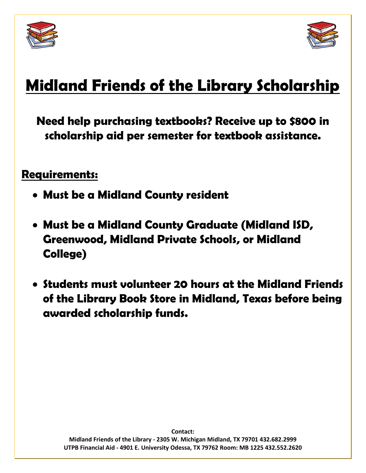



# **Midland Friends of the Library Scholarship**

**Need help purchasing textbooks? Receive up to \$800 in scholarship aid per semester for textbook assistance.**

### **Requirements:**

- **Must be a Midland County resident**
- **Must be a Midland County Graduate (Midland ISD, Greenwood, Midland Private Schools, or Midland College)**
- **Students must volunteer 20 hours at the Midland Friends of the Library Book Store in Midland, Texas before being awarded scholarship funds.**